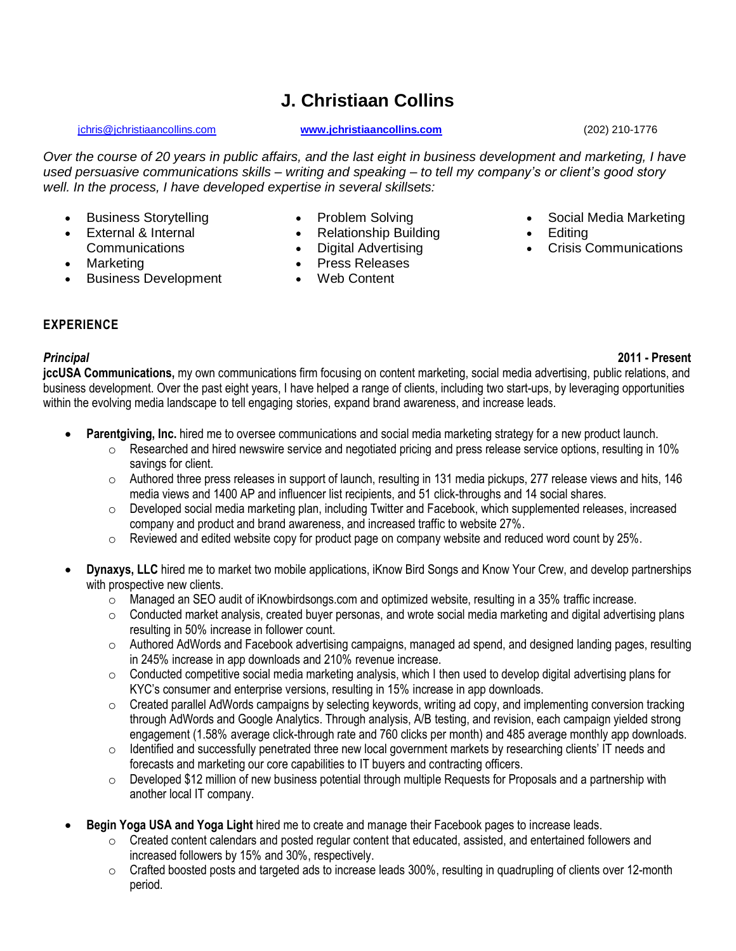# **J. Christiaan Collins**

#### [jchris@jchristiaancollins.com](mailto:jchris@jchristiaancollins.com) **[www.jchristiaancollins.com](http://www.jchristiaancollins.com/)** (202) 210-1776

• Social Media Marketing

• Crisis Communications

**Editing** 

*Over the course of 20 years in public affairs, and the last eight in business development and marketing, I have used persuasive communications skills – writing and speaking – to tell my company's or client's good story well. In the process, I have developed expertise in several skillsets:*

- Business Storytelling
- External & Internal Communications
- Marketing
- Business Development
- Problem Solving
- Relationship Building
- Digital Advertising
- Press Releases
- Web Content

**EXPERIENCE**

*Principal* **2011 - Present**

**jccUSA Communications,** my own communications firm focusing on content marketing, social media advertising, public relations, and business development. Over the past eight years, I have helped a range of clients, including two start-ups, by leveraging opportunities within the evolving media landscape to tell engaging stories, expand brand awareness, and increase leads.

- **Parentgiving, Inc.** hired me to oversee communications and social media marketing strategy for a new product launch.
	- o Researched and hired newswire service and negotiated pricing and press release service options, resulting in 10% savings for client.
		- $\circ$  Authored three press releases in support of launch, resulting in 131 media pickups, 277 release views and hits, 146 media views and 1400 AP and influencer list recipients, and 51 click-throughs and 14 social shares.
	- o Developed social media marketing plan, including Twitter and Facebook, which supplemented releases, increased company and product and brand awareness, and increased traffic to website 27%.
	- $\circ$  Reviewed and edited website copy for product page on company website and reduced word count by 25%.
- **Dynaxys, LLC** hired me to market two mobile applications, iKnow Bird Songs and Know Your Crew, and develop partnerships with prospective new clients.
	- $\circ$  Managed an SEO audit of iKnowbirdsongs.com and optimized website, resulting in a 35% traffic increase.
	- o Conducted market analysis, created buyer personas, and wrote social media marketing and digital advertising plans resulting in 50% increase in follower count.
	- o Authored AdWords and Facebook advertising campaigns, managed ad spend, and designed landing pages, resulting in 245% increase in app downloads and 210% revenue increase.
	- $\circ$  Conducted competitive social media marketing analysis, which I then used to develop digital advertising plans for KYC's consumer and enterprise versions, resulting in 15% increase in app downloads.
	- $\circ$  Created parallel AdWords campaigns by selecting keywords, writing ad copy, and implementing conversion tracking through AdWords and Google Analytics. Through analysis, A/B testing, and revision, each campaign yielded strong engagement (1.58% average click-through rate and 760 clicks per month) and 485 average monthly app downloads.
	- $\circ$  Identified and successfully penetrated three new local government markets by researching clients' IT needs and forecasts and marketing our core capabilities to IT buyers and contracting officers.
	- $\circ$  Developed \$12 million of new business potential through multiple Requests for Proposals and a partnership with another local IT company.
- **Begin Yoga USA and Yoga Light** hired me to create and manage their Facebook pages to increase leads.
	- $\circ$  Created content calendars and posted regular content that educated, assisted, and entertained followers and increased followers by 15% and 30%, respectively.
	- $\circ$  Crafted boosted posts and targeted ads to increase leads 300%, resulting in quadrupling of clients over 12-month period.